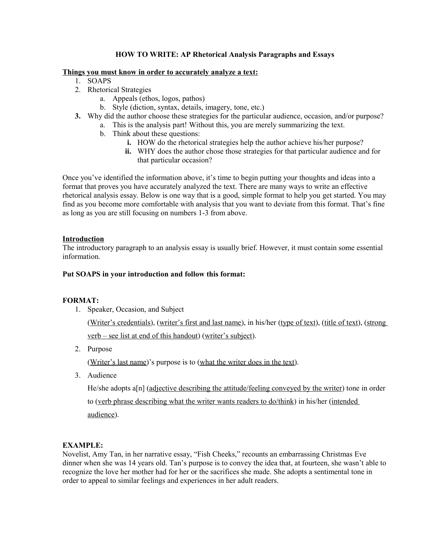# **HOW TO WRITE: AP Rhetorical Analysis Paragraphs and Essays**

### **Things you must know in order to accurately analyze a text:**

- 1. SOAPS
- 2. Rhetorical Strategies
	- a. Appeals (ethos, logos, pathos)
	- b. Style (diction, syntax, details, imagery, tone, etc.)
- **3.** Why did the author choose these strategies for the particular audience, occasion, and/or purpose?
	- a. This is the analysis part! Without this, you are merely summarizing the text.
	- b. Think about these questions:
		- **i.** HOW do the rhetorical strategies help the author achieve his/her purpose?
		- **ii.** WHY does the author chose those strategies for that particular audience and for that particular occasion?

Once you've identified the information above, it's time to begin putting your thoughts and ideas into a format that proves you have accurately analyzed the text. There are many ways to write an effective rhetorical analysis essay. Below is one way that is a good, simple format to help you get started. You may find as you become more comfortable with analysis that you want to deviate from this format. That's fine as long as you are still focusing on numbers 1-3 from above.

# **Introduction**

The introductory paragraph to an analysis essay is usually brief. However, it must contain some essential information.

### **Put SOAPS in your introduction and follow this format:**

## **FORMAT:**

1. Speaker, Occasion, and Subject

(Writer's credentials), (writer's first and last name), in his/her (type of text), (title of text), (strong verb – see list at end of this handout) (writer's subject).

2. Purpose

(Writer's last name)'s purpose is to (what the writer does in the text).

3. Audience

He/she adopts a[n] (adjective describing the attitude/feeling conveyed by the writer) tone in order to (verb phrase describing what the writer wants readers to do/think) in his/her (intended audience).

## **EXAMPLE:**

Novelist, Amy Tan, in her narrative essay, "Fish Cheeks," recounts an embarrassing Christmas Eve dinner when she was 14 years old. Tan's purpose is to convey the idea that, at fourteen, she wasn't able to recognize the love her mother had for her or the sacrifices she made. She adopts a sentimental tone in order to appeal to similar feelings and experiences in her adult readers.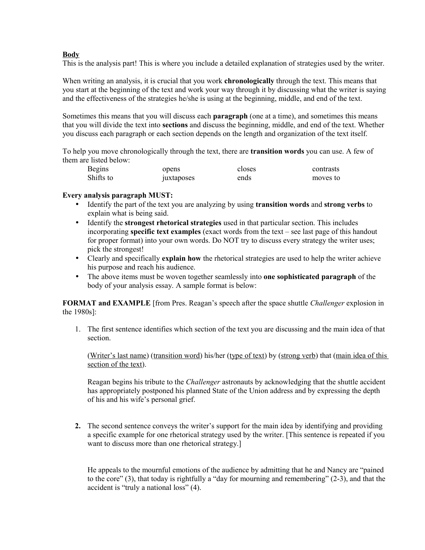# **Body**

This is the analysis part! This is where you include a detailed explanation of strategies used by the writer.

When writing an analysis, it is crucial that you work **chronologically** through the text. This means that you start at the beginning of the text and work your way through it by discussing what the writer is saying and the effectiveness of the strategies he/she is using at the beginning, middle, and end of the text.

Sometimes this means that you will discuss each **paragraph** (one at a time), and sometimes this means that you will divide the text into **sections** and discuss the beginning, middle, and end of the text. Whether you discuss each paragraph or each section depends on the length and organization of the text itself.

To help you move chronologically through the text, there are **transition words** you can use. A few of them are listed below:

| <b>Begins</b> | opens      | closes | contrasts |
|---------------|------------|--------|-----------|
| Shifts to     | juxtaposes | ends   | moves to  |

## **Every analysis paragraph MUST:**

- Identify the part of the text you are analyzing by using **transition words** and **strong verbs** to explain what is being said.
- Identify the **strongest rhetorical strategies** used in that particular section. This includes incorporating **specific text examples** (exact words from the text – see last page of this handout for proper format) into your own words. Do NOT try to discuss every strategy the writer uses; pick the strongest!
- Clearly and specifically **explain how** the rhetorical strategies are used to help the writer achieve his purpose and reach his audience.
- The above items must be woven together seamlessly into **one sophisticated paragraph** of the body of your analysis essay. A sample format is below:

**FORMAT and EXAMPLE** [from Pres. Reagan's speech after the space shuttle *Challenger* explosion in the 1980s]:

1. The first sentence identifies which section of the text you are discussing and the main idea of that section.

(Writer's last name) (transition word) his/her (type of text) by (strong verb) that (main idea of this section of the text).

Reagan begins his tribute to the *Challenger* astronauts by acknowledging that the shuttle accident has appropriately postponed his planned State of the Union address and by expressing the depth of his and his wife's personal grief.

**2.** The second sentence conveys the writer's support for the main idea by identifying and providing a specific example for one rhetorical strategy used by the writer. [This sentence is repeated if you want to discuss more than one rhetorical strategy.]

He appeals to the mournful emotions of the audience by admitting that he and Nancy are "pained to the core" (3), that today is rightfully a "day for mourning and remembering" (2-3), and that the accident is "truly a national loss" (4).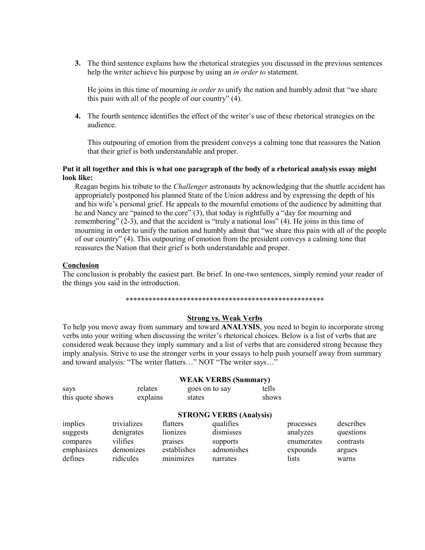**3.** The third sentence explains how the rhetorical strategies you discussed in the previous sentences help the writer achieve his purpose by using an *in order to* statement.

He joins in this time of mourning *in order to* unify the nation and humbly admit that "we share this pain with all of the people of our country" (4).

**4.** The fourth sentence identifies the effect of the writer's use of these rhetorical strategies on the audience.

This outpouring of emotion from the president conveys a calming tone that reassures the Nation that their grief is both understandable and proper.

#### **Put it all together and this is what one paragraph of the body of a rhetorical analysis essay might look like:**

Reagan begins his tribute to the *Challenger* astronauts by acknowledging that the shuttle accident has appropriately postponed his planned State of the Union address and by expressing the depth of his and his wife's personal grief. He appeals to the mournful emotions of the audience by admitting that he and Nancy are "pained to the core" (3), that today is rightfully a "day for mourning and remembering" (2-3), and that the accident is "truly a national loss" (4). He joins in this time of mourning in order to unify the nation and humbly admit that "we share this pain with all of the people of our country" (4). This outpouring of emotion from the president conveys a calming tone that reassures the Nation that their grief is both understandable and proper.

### **Conclusion**

The conclusion is probably the easiest part. Be brief. In one-two sentences, simply remind your reader of the things you said in the introduction.

#### \*\*\*\*\*\*\*\*\*\*\*\*\*\*\*\*\*\*\*\*\*\*\*\*\*\*\*\*\*\*\*\*\*\*\*\*\*\*\*\*\*\*\*\*\*\*\*\*\*\*\*\*

# **Strong vs. Weak Verbs**

To help you move away from summary and toward **ANALYSIS**, you need to begin to incorporate strong verbs into your writing when discussing the writer's rhetorical choices. Below is a list of verbs that are considered weak because they imply summary and a list of verbs that are considered strong because they imply analysis. Strive to use the stronger verbs in your essays to help push yourself away from summary and toward analysis: "The writer flatters…" NOT "The writer says…"

| says<br>this quote shows        | relates<br>explains                   | goes on to say<br>states        | <b>WEAK VERBS (Summary)</b>                                          | tells<br>shows |                                     |                                     |
|---------------------------------|---------------------------------------|---------------------------------|----------------------------------------------------------------------|----------------|-------------------------------------|-------------------------------------|
| implies<br>suggests<br>compares | trivializes<br>denigrates<br>vilifies | flatters<br>lionizes<br>praises | <b>STRONG VERBS (Analysis)</b><br>qualifies<br>dismisses<br>supports |                | processes<br>analyzes<br>enumerates | describes<br>questions<br>contrasts |
| emphasizes<br>defines           | demonizes<br>ridicules                | establishes<br>minimizes        | admonishes<br>narrates                                               |                | expounds<br>lists                   | argues<br>warns                     |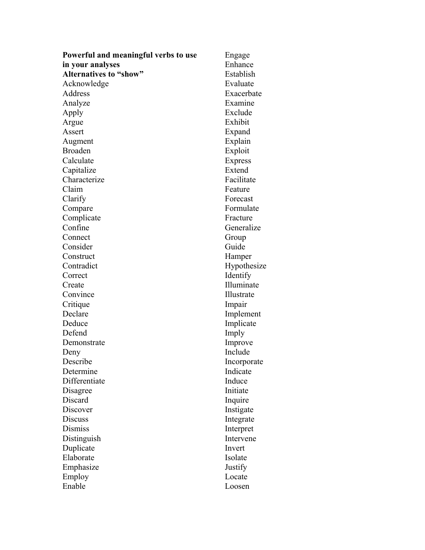| Powerful and meaningful verbs to use | Engage         |
|--------------------------------------|----------------|
| in your analyses                     | Enhance        |
| <b>Alternatives to "show"</b>        | Establish      |
| Acknowledge                          | Evaluate       |
| Address                              | Exacerbate     |
| Analyze                              | Examine        |
| Apply                                | Exclude        |
| Argue                                | Exhibit        |
| Assert                               | Expand         |
| Augment                              | Explain        |
| <b>Broaden</b>                       | Exploit        |
| Calculate                            | <b>Express</b> |
| Capitalize                           | Extend         |
| Characterize                         | Facilitate     |
| Claim                                | Feature        |
| Clarify                              | Forecast       |
| Compare                              | Formulate      |
| Complicate                           | Fracture       |
| Confine                              | Generalize     |
| Connect                              | Group          |
| Consider                             | Guide          |
| Construct                            | Hamper         |
| Contradict                           | Hypothesize    |
| Correct                              | Identify       |
| Create                               | Illuminate     |
| Convince                             | Illustrate     |
| Critique                             | Impair         |
| Declare                              | Implement      |
| Deduce                               | Implicate      |
| Defend                               | Imply          |
| Demonstrate                          | Improve        |
|                                      | Include        |
| Deny<br>Describe                     | Incorporate    |
| Determine                            | Indicate       |
| Differentiate                        | Induce         |
|                                      | Initiate       |
| Disagree<br>Discard                  |                |
| Discover                             | Inquire        |
|                                      | Instigate      |
| <b>Discuss</b>                       | Integrate      |
| <b>Dismiss</b>                       | Interpret      |
| Distinguish                          | Intervene      |
| Duplicate                            | Invert         |
| Elaborate                            | Isolate        |
| Emphasize                            | Justify        |
| Employ                               | Locate         |
| Enable                               | Loosen         |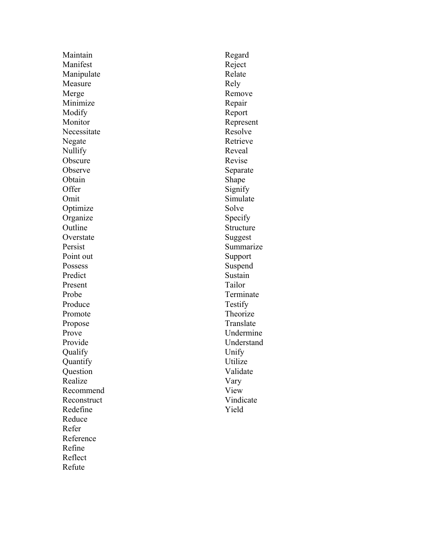Maintain Manifest Manipulate Measure Merge Minimize Modify Monitor Necessitate Negate Nullify **Obscure** Observe **Obtain** Offer Omit **Optimize Organize** Outline **Overstate** Persist Point out **Possess** Predict Present Probe Produce Promote Propose Prove Provide Qualify Quantify **Question** Realize Recommend Reconstruct Redefine Reduce Refer Reference Refine Reflect Refute

Regard Reject Relate Rely Remove Repair Report Represent Resolve Retrieve Reveal Revise Separate Shape Signify Simulate Solve Specify Structure Suggest Summarize Support Suspend Sustain Tailor Terminate Testify Theorize Translate Undermine Understand Unify Utilize Validate Vary View Vindicate Yield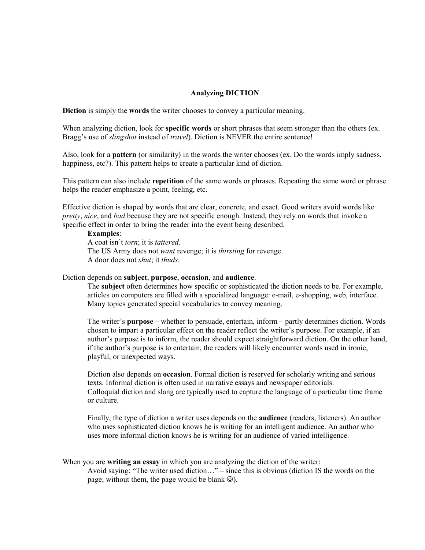### **Analyzing DICTION**

**Diction** is simply the **words** the writer chooses to convey a particular meaning.

When analyzing diction, look for **specific words** or short phrases that seem stronger than the others (ex. Bragg's use of *slingshot* instead of *travel*). Diction is NEVER the entire sentence!

Also, look for a **pattern** (or similarity) in the words the writer chooses (ex. Do the words imply sadness, happiness, etc?). This pattern helps to create a particular kind of diction.

This pattern can also include **repetition** of the same words or phrases. Repeating the same word or phrase helps the reader emphasize a point, feeling, etc.

Effective diction is shaped by words that are clear, concrete, and exact. Good writers avoid words like *pretty*, *nice*, and *bad* because they are not specific enough. Instead, they rely on words that invoke a specific effect in order to bring the reader into the event being described.

#### **Examples**:

A coat isn't *torn*; it is *tattered*. The US Army does not *want* revenge; it is *thirsting* for revenge. A door does not *shut*; it *thuds*.

#### Diction depends on **subject**, **purpose**, **occasion**, and **audience**.

The **subject** often determines how specific or sophisticated the diction needs to be. For example, articles on computers are filled with a specialized language: e-mail, e-shopping, web, interface. Many topics generated special vocabularies to convey meaning.

The writer's **purpose** – whether to persuade, entertain, inform – partly determines diction. Words chosen to impart a particular effect on the reader reflect the writer's purpose. For example, if an author's purpose is to inform, the reader should expect straightforward diction. On the other hand, if the author's purpose is to entertain, the readers will likely encounter words used in ironic, playful, or unexpected ways.

Diction also depends on **occasion**. Formal diction is reserved for scholarly writing and serious texts. Informal diction is often used in narrative essays and newspaper editorials. Colloquial diction and slang are typically used to capture the language of a particular time frame or culture.

Finally, the type of diction a writer uses depends on the **audience** (readers, listeners). An author who uses sophisticated diction knows he is writing for an intelligent audience. An author who uses more informal diction knows he is writing for an audience of varied intelligence.

#### When you are **writing an essay** in which you are analyzing the diction of the writer:

Avoid saying: "The writer used diction…" – since this is obvious (diction IS the words on the page; without them, the page would be blank  $\circledcirc$ ).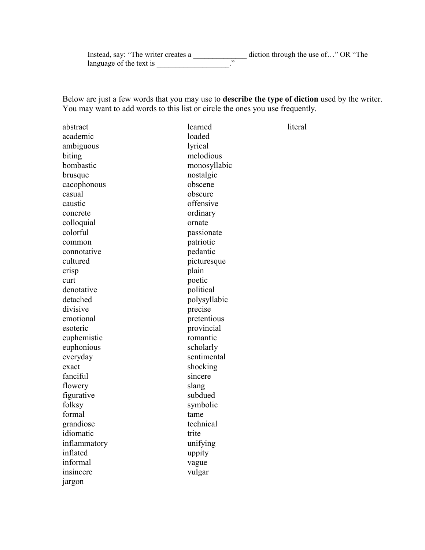Instead, say: "The writer creates a \_\_\_\_\_\_\_\_\_\_\_\_\_\_\_\_\_ diction through the use of..." OR "The language of the text is  $\cdot$  "

Below are just a few words that you may use to **describe the type of diction** used by the writer. You may want to add words to this list or circle the ones you use frequently.

| abstract     | learned      | literal |
|--------------|--------------|---------|
| academic     | loaded       |         |
| ambiguous    | lyrical      |         |
| biting       | melodious    |         |
| bombastic    | monosyllabic |         |
| brusque      | nostalgic    |         |
| cacophonous  | obscene      |         |
| casual       | obscure      |         |
| caustic      | offensive    |         |
| concrete     | ordinary     |         |
| colloquial   | ornate       |         |
| colorful     | passionate   |         |
| common       | patriotic    |         |
| connotative  | pedantic     |         |
| cultured     | picturesque  |         |
| crisp        | plain        |         |
| curt         | poetic       |         |
| denotative   | political    |         |
| detached     | polysyllabic |         |
| divisive     | precise      |         |
| emotional    | pretentious  |         |
| esoteric     | provincial   |         |
| euphemistic  | romantic     |         |
| euphonious   | scholarly    |         |
| everyday     | sentimental  |         |
| exact        | shocking     |         |
| fanciful     | sincere      |         |
| flowery      | slang        |         |
| figurative   | subdued      |         |
| folksy       | symbolic     |         |
| formal       | tame         |         |
| grandiose    | technical    |         |
| idiomatic    | trite        |         |
| inflammatory | unifying     |         |
| inflated     | uppity       |         |
| informal     | vague        |         |
| insincere    | vulgar       |         |
| jargon       |              |         |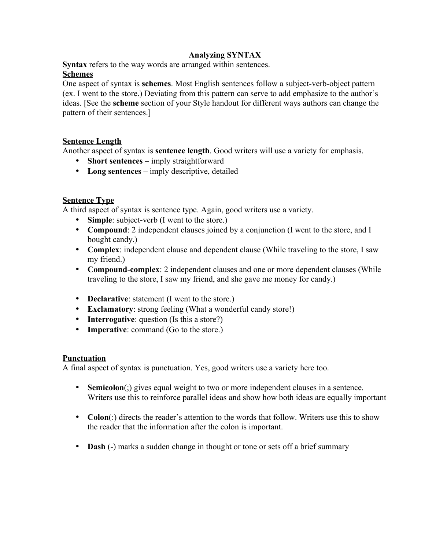# **Analyzing SYNTAX**

**Syntax** refers to the way words are arranged within sentences.

# **Schemes**

One aspect of syntax is **schemes**. Most English sentences follow a subject-verb-object pattern (ex. I went to the store.) Deviating from this pattern can serve to add emphasize to the author's ideas. [See the **scheme** section of your Style handout for different ways authors can change the pattern of their sentences.]

# **Sentence Length**

Another aspect of syntax is **sentence length**. Good writers will use a variety for emphasis.

- **Short sentences** imply straightforward
- **Long sentences** imply descriptive, detailed

# **Sentence Type**

A third aspect of syntax is sentence type. Again, good writers use a variety.

- **Simple**: subject-verb (I went to the store.)
- **Compound**: 2 independent clauses joined by a conjunction (I went to the store, and I bought candy.)
- **Complex**: independent clause and dependent clause (While traveling to the store, I saw my friend.)
- **Compound**-**complex**: 2 independent clauses and one or more dependent clauses (While traveling to the store, I saw my friend, and she gave me money for candy.)
- **Declarative**: statement (I went to the store.)
- **Exclamatory**: strong feeling (What a wonderful candy store!)
- **Interrogative**: question (Is this a store?)
- **Imperative**: command (Go to the store.)

# **Punctuation**

A final aspect of syntax is punctuation. Yes, good writers use a variety here too.

- **Semicolon**(;) gives equal weight to two or more independent clauses in a sentence. Writers use this to reinforce parallel ideas and show how both ideas are equally important
- **Colon**(:) directs the reader's attention to the words that follow. Writers use this to show the reader that the information after the colon is important.
- **Dash** (-) marks a sudden change in thought or tone or sets off a brief summary